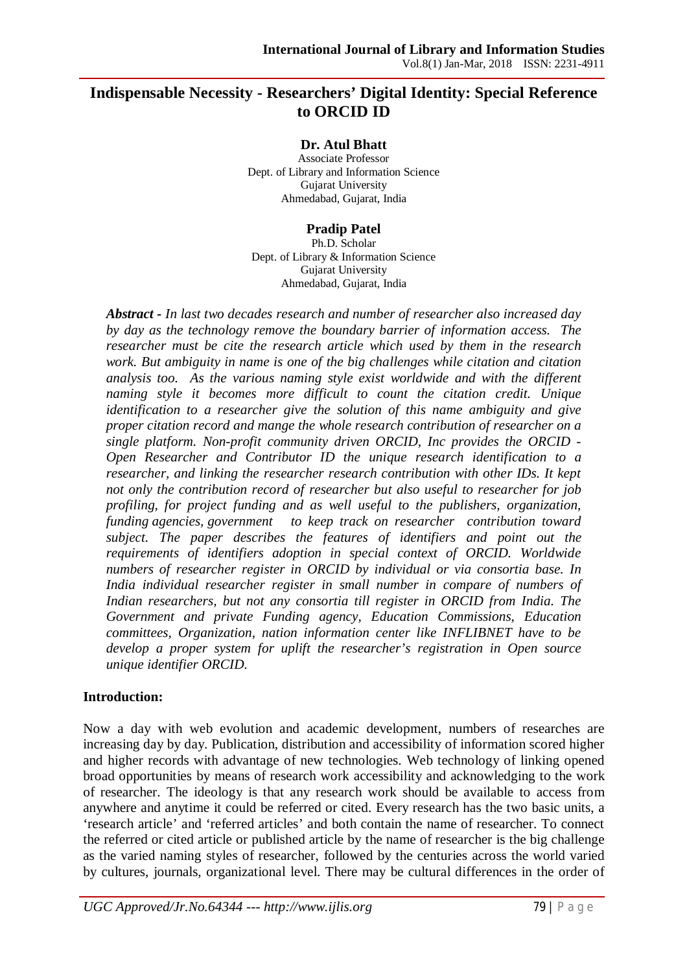# **Indispensable Necessity - Researchers' Digital Identity: Special Reference to ORCID ID**

#### **Dr. Atul Bhatt**

Associate Professor Dept. of Library and Information Science Gujarat University Ahmedabad, Gujarat, India

#### **Pradip Patel**

Ph.D. Scholar Dept. of Library & Information Science Gujarat University Ahmedabad, Gujarat, India

*Abstract - In last two decades research and number of researcher also increased day by day as the technology remove the boundary barrier of information access. The researcher must be cite the research article which used by them in the research work. But ambiguity in name is one of the big challenges while citation and citation analysis too. As the various naming style exist worldwide and with the different naming style it becomes more difficult to count the citation credit. Unique identification to a researcher give the solution of this name ambiguity and give proper citation record and mange the whole research contribution of researcher on a single platform. Non-profit community driven ORCID, Inc provides the ORCID - Open Researcher and Contributor ID the unique research identification to a researcher, and linking the researcher research contribution with other IDs. It kept not only the contribution record of researcher but also useful to researcher for job profiling, for project funding and as well useful to the publishers, organization, funding agencies, government to keep track on researcher contribution toward subject. The paper describes the features of identifiers and point out the requirements of identifiers adoption in special context of ORCID. Worldwide numbers of researcher register in ORCID by individual or via consortia base. In India individual researcher register in small number in compare of numbers of Indian researchers, but not any consortia till register in ORCID from India. The Government and private Funding agency, Education Commissions, Education committees, Organization, nation information center like INFLIBNET have to be develop a proper system for uplift the researcher's registration in Open source unique identifier ORCID.*

#### **Introduction:**

Now a day with web evolution and academic development, numbers of researches are increasing day by day. Publication, distribution and accessibility of information scored higher and higher records with advantage of new technologies. Web technology of linking opened broad opportunities by means of research work accessibility and acknowledging to the work of researcher. The ideology is that any research work should be available to access from anywhere and anytime it could be referred or cited. Every research has the two basic units, a 'research article' and 'referred articles' and both contain the name of researcher. To connect the referred or cited article or published article by the name of researcher is the big challenge as the varied naming styles of researcher, followed by the centuries across the world varied by cultures, journals, organizational level. There may be cultural differences in the order of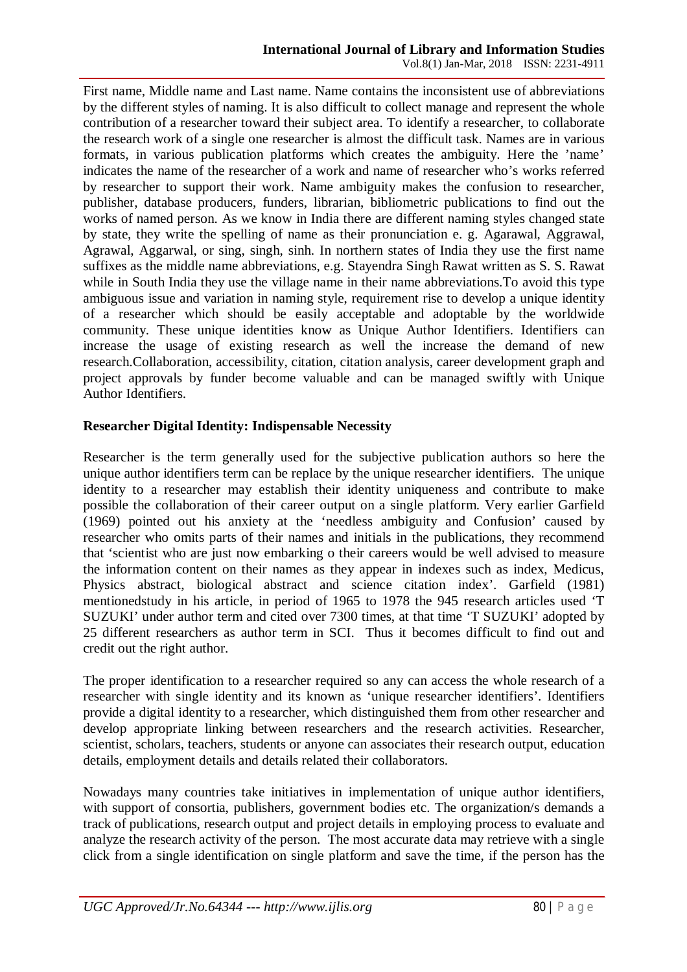First name, Middle name and Last name. Name contains the inconsistent use of abbreviations by the different styles of naming. It is also difficult to collect manage and represent the whole contribution of a researcher toward their subject area. To identify a researcher, to collaborate the research work of a single one researcher is almost the difficult task. Names are in various formats, in various publication platforms which creates the ambiguity. Here the 'name' indicates the name of the researcher of a work and name of researcher who's works referred by researcher to support their work. Name ambiguity makes the confusion to researcher, publisher, database producers, funders, librarian, bibliometric publications to find out the works of named person. As we know in India there are different naming styles changed state by state, they write the spelling of name as their pronunciation e. g. Agarawal, Aggrawal, Agrawal, Aggarwal, or sing, singh, sinh. In northern states of India they use the first name suffixes as the middle name abbreviations, e.g. Stayendra Singh Rawat written as S. S. Rawat while in South India they use the village name in their name abbreviations.To avoid this type ambiguous issue and variation in naming style, requirement rise to develop a unique identity of a researcher which should be easily acceptable and adoptable by the worldwide community. These unique identities know as Unique Author Identifiers. Identifiers can increase the usage of existing research as well the increase the demand of new research.Collaboration, accessibility, citation, citation analysis, career development graph and project approvals by funder become valuable and can be managed swiftly with Unique Author Identifiers.

# **Researcher Digital Identity: Indispensable Necessity**

Researcher is the term generally used for the subjective publication authors so here the unique author identifiers term can be replace by the unique researcher identifiers. The unique identity to a researcher may establish their identity uniqueness and contribute to make possible the collaboration of their career output on a single platform. Very earlier Garfield (1969) pointed out his anxiety at the 'needless ambiguity and Confusion' caused by researcher who omits parts of their names and initials in the publications, they recommend that 'scientist who are just now embarking o their careers would be well advised to measure the information content on their names as they appear in indexes such as index, Medicus, Physics abstract, biological abstract and science citation index'. Garfield (1981) mentionedstudy in his article, in period of 1965 to 1978 the 945 research articles used 'T SUZUKI' under author term and cited over 7300 times, at that time 'T SUZUKI' adopted by 25 different researchers as author term in SCI. Thus it becomes difficult to find out and credit out the right author.

The proper identification to a researcher required so any can access the whole research of a researcher with single identity and its known as 'unique researcher identifiers'. Identifiers provide a digital identity to a researcher, which distinguished them from other researcher and develop appropriate linking between researchers and the research activities. Researcher, scientist, scholars, teachers, students or anyone can associates their research output, education details, employment details and details related their collaborators.

Nowadays many countries take initiatives in implementation of unique author identifiers, with support of consortia, publishers, government bodies etc. The organization/s demands a track of publications, research output and project details in employing process to evaluate and analyze the research activity of the person. The most accurate data may retrieve with a single click from a single identification on single platform and save the time, if the person has the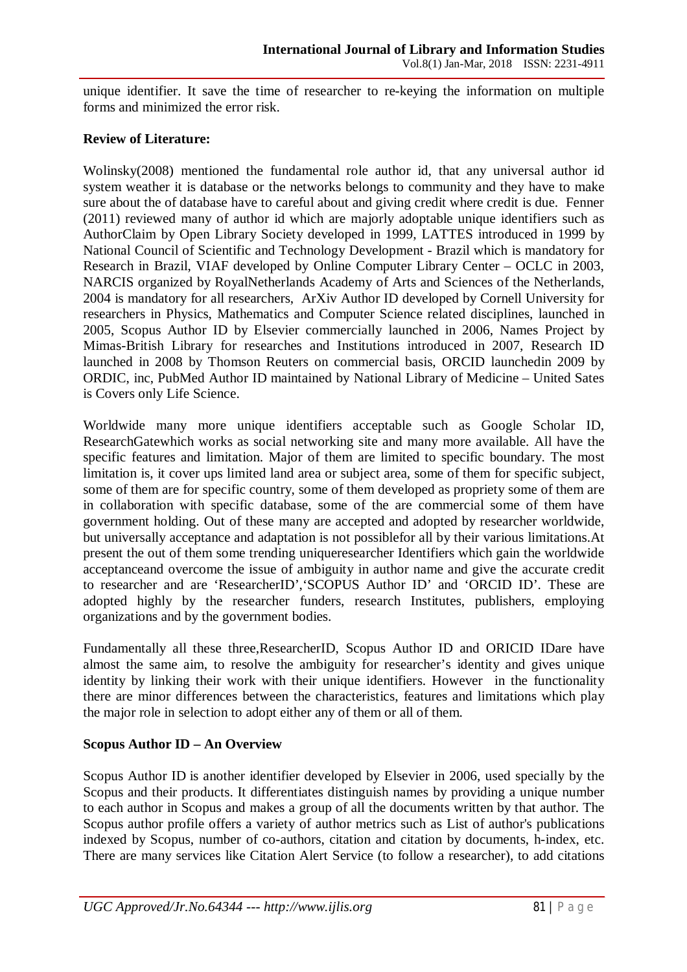unique identifier. It save the time of researcher to re-keying the information on multiple forms and minimized the error risk.

## **Review of Literature:**

Wolinsky(2008) mentioned the fundamental role author id, that any universal author id system weather it is database or the networks belongs to community and they have to make sure about the of database have to careful about and giving credit where credit is due. Fenner (2011) reviewed many of author id which are majorly adoptable unique identifiers such as AuthorClaim by Open Library Society developed in 1999, LATTES introduced in 1999 by National Council of Scientific and Technology Development - Brazil which is mandatory for Research in Brazil, VIAF developed by Online Computer Library Center – OCLC in 2003, NARCIS organized by RoyalNetherlands Academy of Arts and Sciences of the Netherlands, 2004 is mandatory for all researchers, ArXiv Author ID developed by Cornell University for researchers in Physics, Mathematics and Computer Science related disciplines, launched in 2005, Scopus Author ID by Elsevier commercially launched in 2006, Names Project by Mimas-British Library for researches and Institutions introduced in 2007, Research ID launched in 2008 by Thomson Reuters on commercial basis, ORCID launchedin 2009 by ORDIC, inc, PubMed Author ID maintained by National Library of Medicine – United Sates is Covers only Life Science.

Worldwide many more unique identifiers acceptable such as Google Scholar ID, ResearchGatewhich works as social networking site and many more available. All have the specific features and limitation. Major of them are limited to specific boundary. The most limitation is, it cover ups limited land area or subject area, some of them for specific subject, some of them are for specific country, some of them developed as propriety some of them are in collaboration with specific database, some of the are commercial some of them have government holding. Out of these many are accepted and adopted by researcher worldwide, but universally acceptance and adaptation is not possiblefor all by their various limitations.At present the out of them some trending uniqueresearcher Identifiers which gain the worldwide acceptanceand overcome the issue of ambiguity in author name and give the accurate credit to researcher and are 'ResearcherID','SCOPUS Author ID' and 'ORCID ID'. These are adopted highly by the researcher funders, research Institutes, publishers, employing organizations and by the government bodies.

Fundamentally all these three,ResearcherID, Scopus Author ID and ORICID IDare have almost the same aim, to resolve the ambiguity for researcher's identity and gives unique identity by linking their work with their unique identifiers. However in the functionality there are minor differences between the characteristics, features and limitations which play the major role in selection to adopt either any of them or all of them.

# **Scopus Author ID – An Overview**

Scopus Author ID is another identifier developed by Elsevier in 2006, used specially by the Scopus and their products. It differentiates distinguish names by providing a unique number to each author in Scopus and makes a group of all the documents written by that author. The Scopus author profile offers a variety of author metrics such as List of author's publications indexed by Scopus, number of co-authors, citation and citation by documents, h-index, etc. There are many services like Citation Alert Service (to follow a researcher), to add citations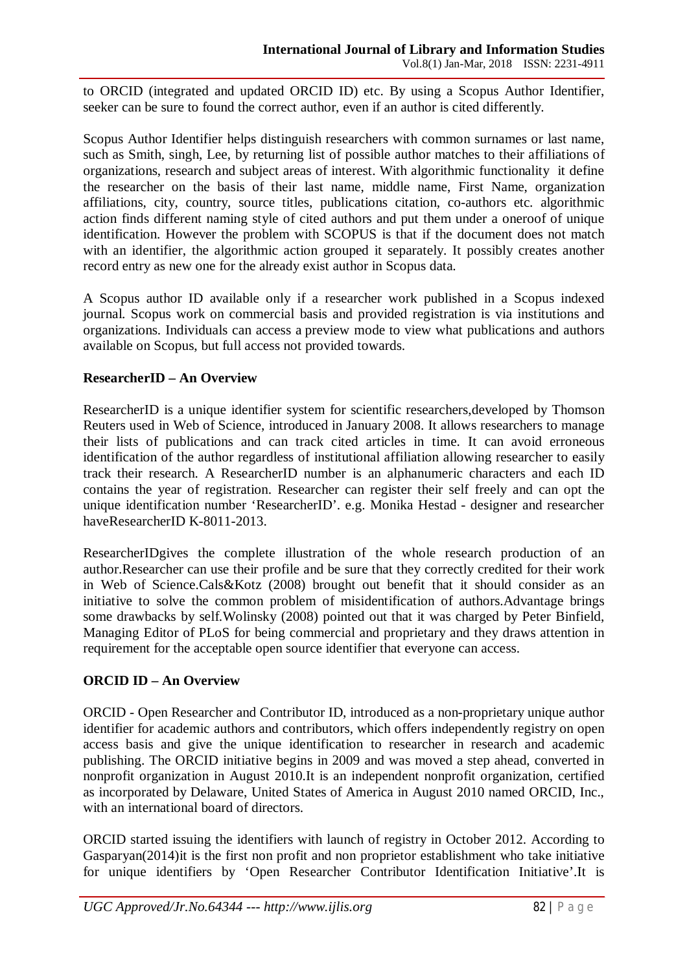to ORCID (integrated and updated ORCID ID) etc. By using a Scopus Author Identifier, seeker can be sure to found the correct author, even if an author is cited differently.

Scopus Author Identifier helps distinguish researchers with common surnames or last name, such as Smith, singh, Lee, by returning list of possible author matches to their affiliations of organizations, research and subject areas of interest. With algorithmic functionality it define the researcher on the basis of their last name, middle name, First Name, organization affiliations, city, country, source titles, publications citation, co-authors etc. algorithmic action finds different naming style of cited authors and put them under a oneroof of unique identification. However the problem with SCOPUS is that if the document does not match with an identifier, the algorithmic action grouped it separately. It possibly creates another record entry as new one for the already exist author in Scopus data.

A Scopus author ID available only if a researcher work published in a Scopus indexed journal. Scopus work on commercial basis and provided registration is via institutions and organizations. Individuals can access a preview mode to view what publications and authors available on Scopus, but full access not provided towards.

## **ResearcherID – An Overview**

ResearcherID is a unique identifier system for scientific researchers,developed by Thomson Reuters used in Web of Science, introduced in January 2008. It allows researchers to manage their lists of publications and can track cited articles in time. It can avoid erroneous identification of the author regardless of institutional affiliation allowing researcher to easily track their research. A ResearcherID number is an alphanumeric characters and each ID contains the year of registration. Researcher can register their self freely and can opt the unique identification number 'ResearcherID'. e.g. Monika Hestad - designer and researcher haveResearcherID K-8011-2013.

ResearcherIDgives the complete illustration of the whole research production of an author.Researcher can use their profile and be sure that they correctly credited for their work in Web of Science.Cals&Kotz (2008) brought out benefit that it should consider as an initiative to solve the common problem of misidentification of authors.Advantage brings some drawbacks by self.Wolinsky (2008) pointed out that it was charged by Peter Binfield, Managing Editor of PLoS for being commercial and proprietary and they draws attention in requirement for the acceptable open source identifier that everyone can access.

# **ORCID ID – An Overview**

ORCID - Open Researcher and Contributor ID, introduced as a non-proprietary unique author identifier for academic authors and contributors, which offers independently registry on open access basis and give the unique identification to researcher in research and academic publishing. The ORCID initiative begins in 2009 and was moved a step ahead, converted in nonprofit organization in August 2010.It is an independent nonprofit organization, certified as incorporated by Delaware, United States of America in August 2010 named ORCID, Inc., with an international board of directors.

ORCID started issuing the identifiers with launch of registry in October 2012. According to Gasparyan(2014)it is the first non profit and non proprietor establishment who take initiative for unique identifiers by 'Open Researcher Contributor Identification Initiative'.It is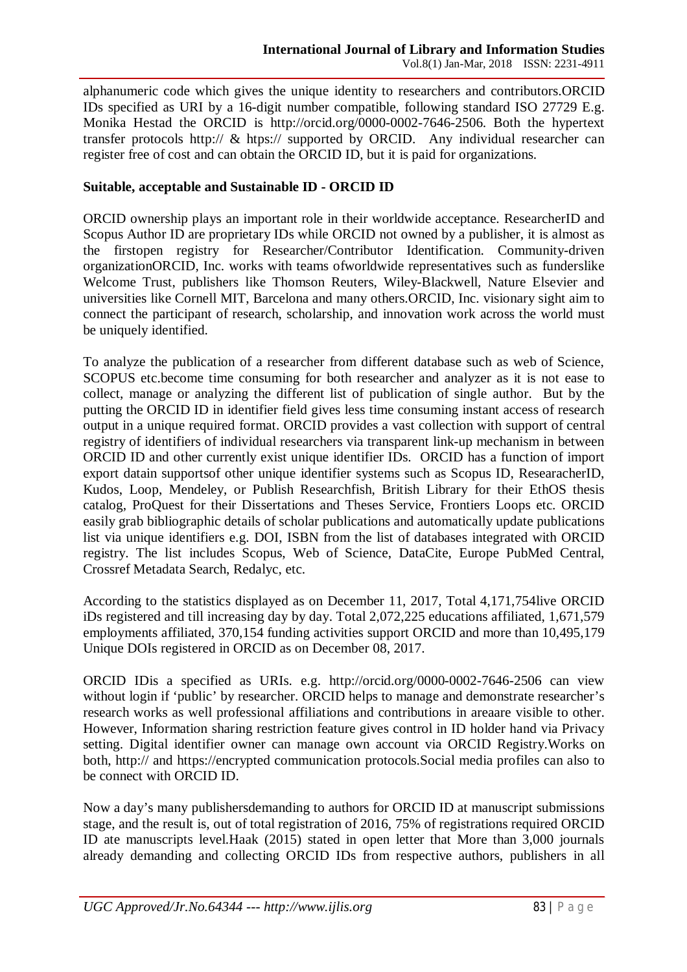alphanumeric code which gives the unique identity to researchers and contributors.ORCID IDs specified as URI by a 16-digit number compatible, following standard ISO 27729 E.g. Monika Hestad the ORCID is http://orcid.org/0000-0002-7646-2506. Both the hypertext transfer protocols http:// & htps:// supported by ORCID. Any individual researcher can register free of cost and can obtain the ORCID ID, but it is paid for organizations.

## **Suitable, acceptable and Sustainable ID - ORCID ID**

ORCID ownership plays an important role in their worldwide acceptance. ResearcherID and Scopus Author ID are proprietary IDs while ORCID not owned by a publisher, it is almost as the firstopen registry for Researcher/Contributor Identification. Community-driven organizationORCID, Inc. works with teams ofworldwide representatives such as funderslike Welcome Trust, publishers like Thomson Reuters, Wiley-Blackwell, Nature Elsevier and universities like Cornell MIT, Barcelona and many others.ORCID, Inc. visionary sight aim to connect the participant of research, scholarship, and innovation work across the world must be uniquely identified.

To analyze the publication of a researcher from different database such as web of Science, SCOPUS etc.become time consuming for both researcher and analyzer as it is not ease to collect, manage or analyzing the different list of publication of single author. But by the putting the ORCID ID in identifier field gives less time consuming instant access of research output in a unique required format. ORCID provides a vast collection with support of central registry of identifiers of individual researchers via transparent link-up mechanism in between ORCID ID and other currently exist unique identifier IDs. ORCID has a function of import export datain supportsof other unique identifier systems such as Scopus ID, ResearacherID, Kudos, Loop, Mendeley, or Publish Researchfish, British Library for their EthOS thesis catalog, ProQuest for their Dissertations and Theses Service, Frontiers Loops etc. ORCID easily grab bibliographic details of scholar publications and automatically update publications list via unique identifiers e.g. DOI, ISBN from the list of databases integrated with ORCID registry. The list includes Scopus, Web of Science, DataCite, Europe PubMed Central, Crossref Metadata Search, Redalyc, etc.

According to the statistics displayed as on December 11, 2017, Total 4,171,754live ORCID iDs registered and till increasing day by day. Total 2,072,225 educations affiliated, 1,671,579 employments affiliated, 370,154 funding activities support ORCID and more than 10,495,179 Unique DOIs registered in ORCID as on December 08, 2017.

ORCID IDis a specified as URIs. e.g. http://orcid.org/0000-0002-7646-2506 can view without login if 'public' by researcher. ORCID helps to manage and demonstrate researcher's research works as well professional affiliations and contributions in areaare visible to other. However, Information sharing restriction feature gives control in ID holder hand via Privacy setting. Digital identifier owner can manage own account via ORCID Registry.Works on both, http:// and https://encrypted communication protocols.Social media profiles can also to be connect with ORCID ID.

Now a day's many publishersdemanding to authors for ORCID ID at manuscript submissions stage, and the result is, out of total registration of 2016, 75% of registrations required ORCID ID ate manuscripts level.Haak (2015) stated in open letter that More than 3,000 journals already demanding and collecting ORCID IDs from respective authors, publishers in all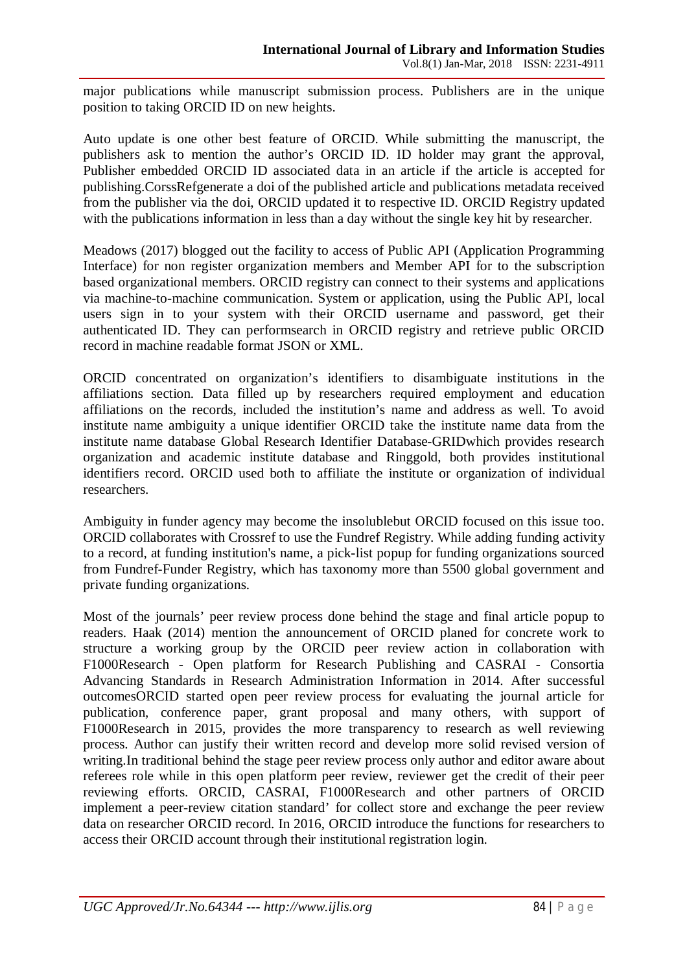major publications while manuscript submission process. Publishers are in the unique position to taking ORCID ID on new heights.

Auto update is one other best feature of ORCID. While submitting the manuscript, the publishers ask to mention the author's ORCID ID. ID holder may grant the approval, Publisher embedded ORCID ID associated data in an article if the article is accepted for publishing.CorssRefgenerate a doi of the published article and publications metadata received from the publisher via the doi, ORCID updated it to respective ID. ORCID Registry updated with the publications information in less than a day without the single key hit by researcher.

Meadows (2017) blogged out the facility to access of Public API (Application Programming Interface) for non register organization members and Member API for to the subscription based organizational members. ORCID registry can connect to their systems and applications via machine-to-machine communication. System or application, using the Public API, local users sign in to your system with their ORCID username and password, get their authenticated ID. They can performsearch in ORCID registry and retrieve public ORCID record in machine readable format JSON or XML.

ORCID concentrated on organization's identifiers to disambiguate institutions in the affiliations section. Data filled up by researchers required employment and education affiliations on the records, included the institution's name and address as well. To avoid institute name ambiguity a unique identifier ORCID take the institute name data from the institute name database Global Research Identifier Database-GRIDwhich provides research organization and academic institute database and Ringgold, both provides institutional identifiers record. ORCID used both to affiliate the institute or organization of individual researchers.

Ambiguity in funder agency may become the insolublebut ORCID focused on this issue too. ORCID collaborates with Crossref to use the Fundref Registry. While adding funding activity to a record, at funding institution's name, a pick-list popup for funding organizations sourced from Fundref-Funder Registry, which has taxonomy more than 5500 global government and private funding organizations.

Most of the journals' peer review process done behind the stage and final article popup to readers. Haak (2014) mention the announcement of ORCID planed for concrete work to structure a working group by the ORCID peer review action in collaboration with F1000Research - Open platform for Research Publishing and CASRAI - Consortia Advancing Standards in Research Administration Information in 2014. After successful outcomesORCID started open peer review process for evaluating the journal article for publication, conference paper, grant proposal and many others, with support of F1000Research in 2015, provides the more transparency to research as well reviewing process. Author can justify their written record and develop more solid revised version of writing.In traditional behind the stage peer review process only author and editor aware about referees role while in this open platform peer review, reviewer get the credit of their peer reviewing efforts. ORCID, CASRAI, F1000Research and other partners of ORCID implement a peer-review citation standard' for collect store and exchange the peer review data on researcher ORCID record. In 2016, ORCID introduce the functions for researchers to access their ORCID account through their institutional registration login.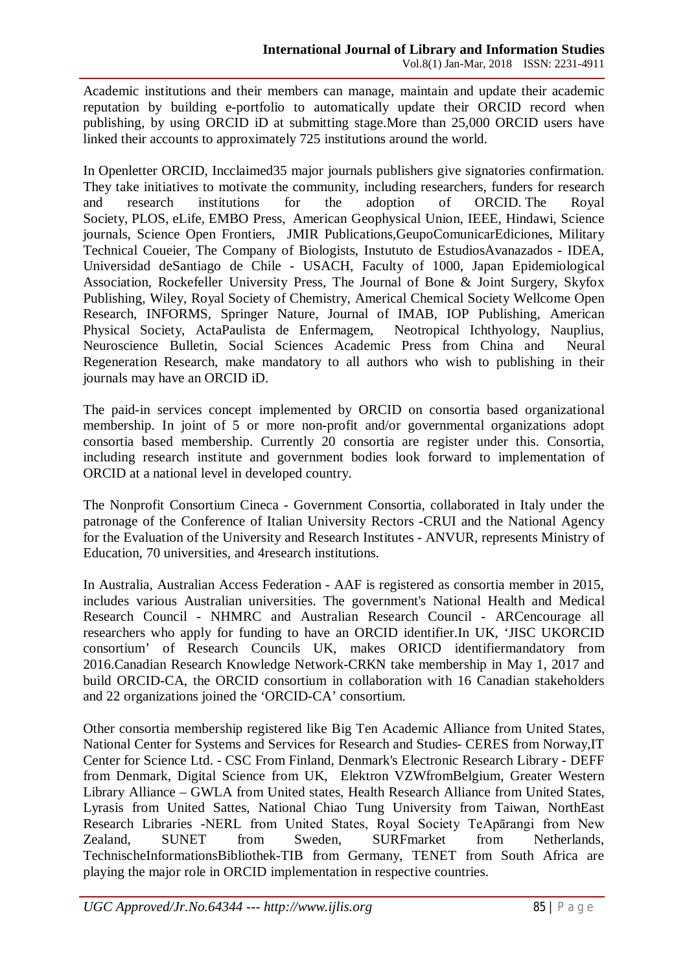Academic institutions and their members can manage, maintain and update their academic reputation by building e-portfolio to automatically update their ORCID record when publishing, by using ORCID iD at submitting stage.More than 25,000 ORCID users have linked their accounts to approximately 725 institutions around the world.

In Openletter ORCID, Incclaimed35 major journals publishers give signatories confirmation. They take initiatives to motivate the community, including researchers, funders for research and research institutions for the adoption of ORCID. The Royal Society, PLOS, eLife, EMBO Press, American Geophysical Union, IEEE, Hindawi, Science journals, Science Open Frontiers, JMIR Publications,GeupoComunicarEdiciones, Military Technical Coueier, The Company of Biologists, Instututo de EstudiosAvanazados - IDEA, Universidad deSantiago de Chile - USACH, Faculty of 1000, Japan Epidemiological Association, Rockefeller University Press, The Journal of Bone & Joint Surgery, Skyfox Publishing, Wiley, Royal Society of Chemistry, Americal Chemical Society Wellcome Open Research, INFORMS, Springer Nature, Journal of IMAB, IOP Publishing, American Physical Society, ActaPaulista de Enfermagem, Neotropical Ichthyology, Nauplius, Neuroscience Bulletin, Social Sciences Academic Press from China and Neural Regeneration Research, make mandatory to all authors who wish to publishing in their journals may have an ORCID iD.

The paid-in services concept implemented by ORCID on consortia based organizational membership. In joint of 5 or more non-profit and/or governmental organizations adopt consortia based membership. Currently 20 consortia are register under this. Consortia, including research institute and government bodies look forward to implementation of ORCID at a national level in developed country.

The Nonprofit Consortium Cineca - Government Consortia, collaborated in Italy under the patronage of the Conference of Italian University Rectors -CRUI and the National Agency for the Evaluation of the University and Research Institutes - ANVUR, represents Ministry of Education, 70 universities, and 4research institutions.

In Australia, Australian Access Federation - AAF is registered as consortia member in 2015, includes various Australian universities. The government's National Health and Medical Research Council - NHMRC and Australian Research Council - ARCencourage all researchers who apply for funding to have an ORCID identifier.In UK, 'JISC UKORCID consortium' of Research Councils UK, makes ORICD identifiermandatory from 2016.Canadian Research Knowledge Network-CRKN take membership in May 1, 2017 and build ORCID-CA, the ORCID consortium in collaboration with 16 Canadian stakeholders and 22 organizations joined the 'ORCID-CA' consortium.

Other consortia membership registered like Big Ten Academic Alliance from United States, National Center for Systems and Services for Research and Studies- CERES from Norway,IT Center for Science Ltd. - CSC From Finland, Denmark's Electronic Research Library - DEFF from Denmark, Digital Science from UK, Elektron VZWfromBelgium, Greater Western Library Alliance – GWLA from United states, Health Research Alliance from United States, Lyrasis from United Sattes, National Chiao Tung University from Taiwan, NorthEast Research Libraries -NERL from United States, Royal Society TeApārangi from New Zealand, SUNET from Sweden, SURFmarket from Netherlands, TechnischeInformationsBibliothek-TIB from Germany, TENET from South Africa are playing the major role in ORCID implementation in respective countries.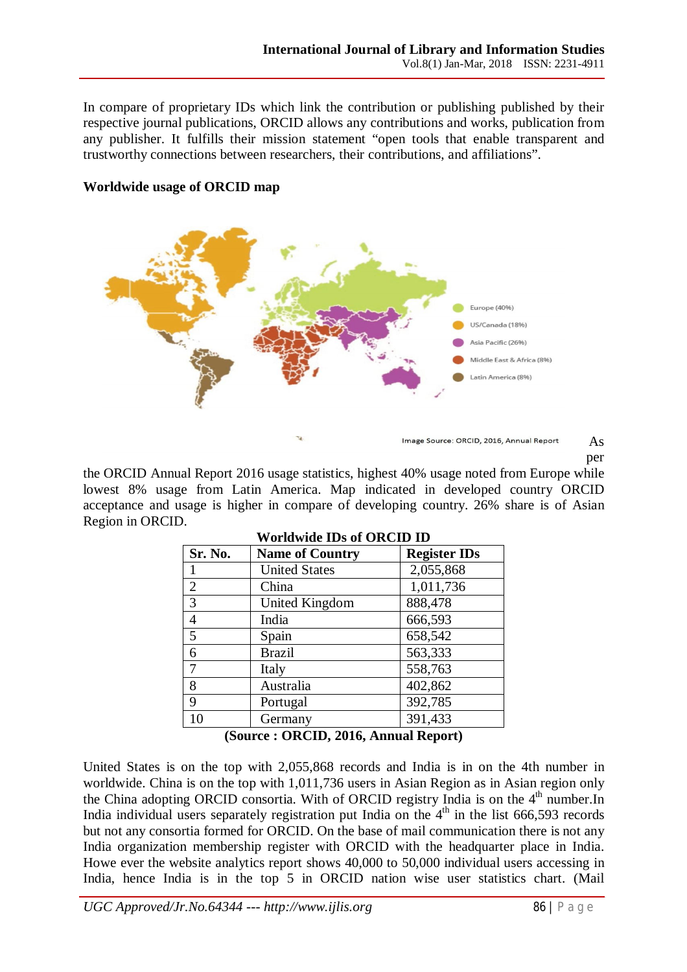In compare of proprietary IDs which link the contribution or publishing published by their respective journal publications, ORCID allows any contributions and works, publication from any publisher. It fulfills their mission statement "open tools that enable transparent and trustworthy connections between researchers, their contributions, and affiliations".



## **Worldwide usage of ORCID map**

As per

the ORCID Annual Report 2016 usage statistics, highest 40% usage noted from Europe while lowest 8% usage from Latin America. Map indicated in developed country ORCID acceptance and usage is higher in compare of developing country. 26% share is of Asian Region in ORCID.

| Sr. No.                                                                                                                                      | <b>Name of Country</b> | <b>Register IDs</b> |
|----------------------------------------------------------------------------------------------------------------------------------------------|------------------------|---------------------|
|                                                                                                                                              | <b>United States</b>   | 2,055,868           |
| $\overline{2}$                                                                                                                               | China                  | 1,011,736           |
| 3                                                                                                                                            | United Kingdom         | 888,478             |
| $\overline{4}$                                                                                                                               | India                  | 666,593             |
| $\overline{5}$                                                                                                                               | Spain                  | 658,542             |
| 6                                                                                                                                            | <b>Brazil</b>          | 563,333             |
| 7                                                                                                                                            | Italy                  | 558,763             |
| 8                                                                                                                                            | Australia              | 402,862             |
| 9                                                                                                                                            | Portugal               | 392,785             |
| 10                                                                                                                                           | Germany                | 391,433             |
| $(\mathbf{C}_{\mathbf{a}}\mathbf{u}_{\mathbf{a}}\mathbf{a})$ . $\mathbf{\Omega}\mathbf{D}\mathbf{\Gamma}\mathbf{\Pi}$<br>$2016$ Annual Donom |                        |                     |

#### **Worldwide IDs of ORCID ID**

**(Source : ORCID, 2016, Annual Report)**

United States is on the top with 2,055,868 records and India is in on the 4th number in worldwide. China is on the top with 1,011,736 users in Asian Region as in Asian region only the China adopting ORCID consortia. With of ORCID registry India is on the  $4<sup>th</sup>$  number. In India individual users separately registration put India on the  $4<sup>th</sup>$  in the list 666,593 records but not any consortia formed for ORCID. On the base of mail communication there is not any India organization membership register with ORCID with the headquarter place in India. Howe ever the website analytics report shows 40,000 to 50,000 individual users accessing in India, hence India is in the top 5 in ORCID nation wise user statistics chart. (Mail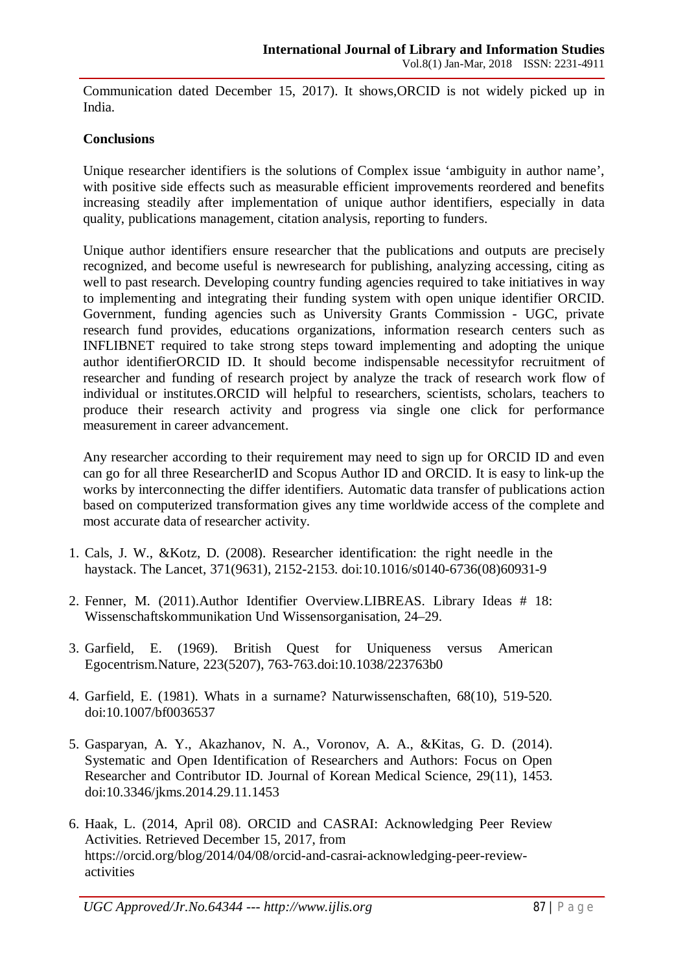Communication dated December 15, 2017). It shows,ORCID is not widely picked up in India.

## **Conclusions**

Unique researcher identifiers is the solutions of Complex issue 'ambiguity in author name', with positive side effects such as measurable efficient improvements reordered and benefits increasing steadily after implementation of unique author identifiers, especially in data quality, publications management, citation analysis, reporting to funders.

Unique author identifiers ensure researcher that the publications and outputs are precisely recognized, and become useful is newresearch for publishing, analyzing accessing, citing as well to past research. Developing country funding agencies required to take initiatives in way to implementing and integrating their funding system with open unique identifier ORCID. Government, funding agencies such as University Grants Commission - UGC, private research fund provides, educations organizations, information research centers such as INFLIBNET required to take strong steps toward implementing and adopting the unique author identifierORCID ID. It should become indispensable necessityfor recruitment of researcher and funding of research project by analyze the track of research work flow of individual or institutes.ORCID will helpful to researchers, scientists, scholars, teachers to produce their research activity and progress via single one click for performance measurement in career advancement.

Any researcher according to their requirement may need to sign up for ORCID ID and even can go for all three ResearcherID and Scopus Author ID and ORCID. It is easy to link-up the works by interconnecting the differ identifiers. Automatic data transfer of publications action based on computerized transformation gives any time worldwide access of the complete and most accurate data of researcher activity.

- 1. Cals, J. W., &Kotz, D. (2008). Researcher identification: the right needle in the haystack. The Lancet, 371(9631), 2152-2153. doi:10.1016/s0140-6736(08)60931-9
- 2. Fenner, M. (2011).Author Identifier Overview.LIBREAS. Library Ideas # 18: Wissenschaftskommunikation Und Wissensorganisation, 24–29.
- 3. Garfield, E. (1969). British Quest for Uniqueness versus American Egocentrism.Nature, 223(5207), 763-763.doi:10.1038/223763b0
- 4. Garfield, E. (1981). Whats in a surname? Naturwissenschaften, 68(10), 519-520. doi:10.1007/bf0036537
- 5. Gasparyan, A. Y., Akazhanov, N. A., Voronov, A. A., &Kitas, G. D. (2014). Systematic and Open Identification of Researchers and Authors: Focus on Open Researcher and Contributor ID. Journal of Korean Medical Science, 29(11), 1453. doi:10.3346/jkms.2014.29.11.1453
- 6. Haak, L. (2014, April 08). ORCID and CASRAI: Acknowledging Peer Review Activities. Retrieved December 15, 2017, from https://orcid.org/blog/2014/04/08/orcid-and-casrai-acknowledging-peer-reviewactivities